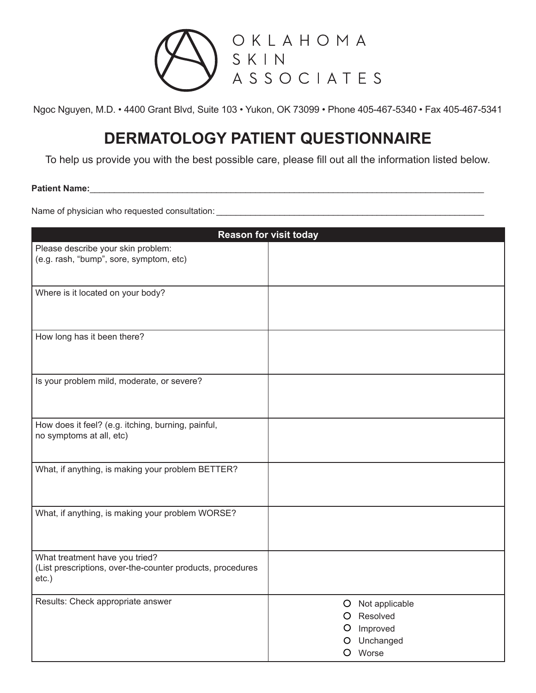

# **DERMATOLOGY PATIENT QUESTIONNAIRE**

To help us provide you with the best possible care, please fill out all the information listed below.

### Patient Name:

Name of physician who requested consultation: \_\_\_\_\_\_\_\_\_\_\_\_\_\_\_\_\_\_\_\_\_\_\_\_\_\_\_\_\_\_\_\_\_\_\_\_\_\_\_\_\_\_\_\_\_\_\_\_\_\_\_\_\_\_\_

|                                                                                                          | <b>Reason for visit today</b>                                    |
|----------------------------------------------------------------------------------------------------------|------------------------------------------------------------------|
| Please describe your skin problem:<br>(e.g. rash, "bump", sore, symptom, etc)                            |                                                                  |
| Where is it located on your body?                                                                        |                                                                  |
| How long has it been there?                                                                              |                                                                  |
| Is your problem mild, moderate, or severe?                                                               |                                                                  |
| How does it feel? (e.g. itching, burning, painful,<br>no symptoms at all, etc)                           |                                                                  |
| What, if anything, is making your problem BETTER?                                                        |                                                                  |
| What, if anything, is making your problem WORSE?                                                         |                                                                  |
| What treatment have you tried?<br>(List prescriptions, over-the-counter products, procedures<br>$etc.$ ) |                                                                  |
| Results: Check appropriate answer                                                                        | O Not applicable<br>Resolved<br>Improved<br>Unchanged<br>O Worse |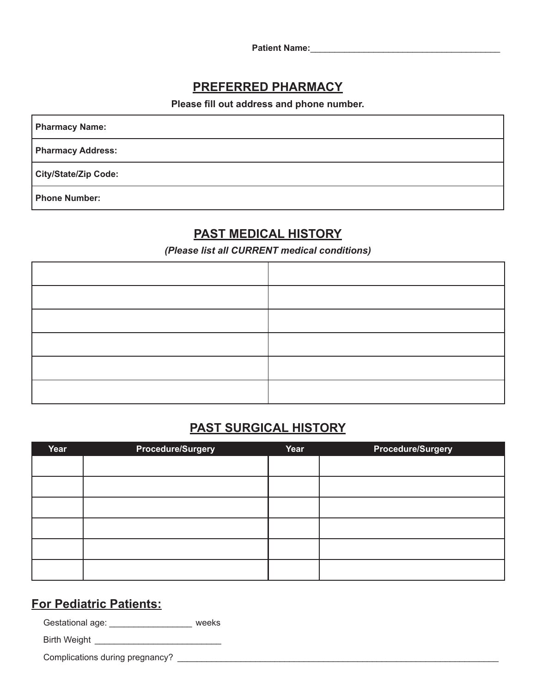Patient Name: **With a set of the set of the set of the set of the set of the set of the set of the set of the set of the set of the set of the set of the set of the set of the set of the set of the set of the set of the se** 

## **PREFERRED PHARMACY**

**Please fill out address and phone number.**

**Pharmacy Name:**

**Pharmacy Address:**

**City/State/Zip Code:**

**Phone Number:**

## **PAST MEDICAL HISTORY**

*(Please list all CURRENT medical conditions)*

# **PAST SURGICAL HISTORY**

| Year | <b>Procedure/Surgery</b> | Year | <b>Procedure/Surgery</b> |
|------|--------------------------|------|--------------------------|
|      |                          |      |                          |
|      |                          |      |                          |
|      |                          |      |                          |
|      |                          |      |                          |
|      |                          |      |                          |
|      |                          |      |                          |

## **For Pediatric Patients:**

Gestational age: \_\_\_\_\_\_\_\_\_\_\_\_\_\_\_\_\_\_\_ weeks

Birth Weight \_\_\_\_\_\_\_\_\_\_\_\_\_\_\_\_\_\_\_\_\_\_\_\_\_\_

Complications during pregnancy? \_\_\_\_\_\_\_\_\_\_\_\_\_\_\_\_\_\_\_\_\_\_\_\_\_\_\_\_\_\_\_\_\_\_\_\_\_\_\_\_\_\_\_\_\_\_\_\_\_\_\_\_\_\_\_\_\_\_\_\_\_\_\_\_\_\_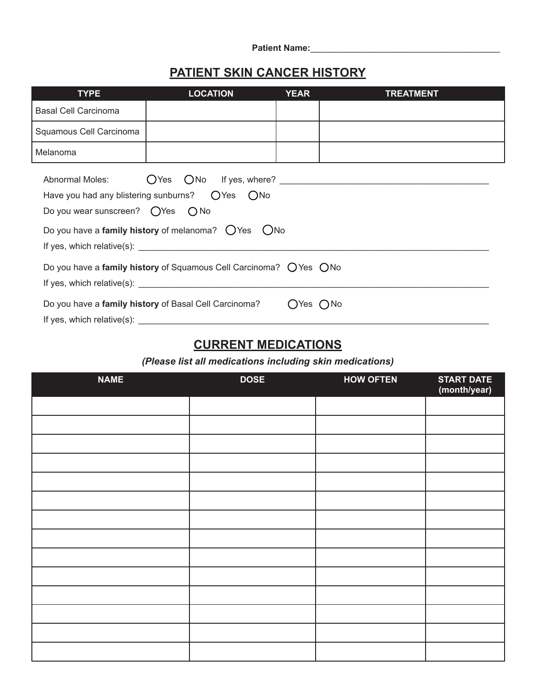| <b>Patient Name:</b> |  |
|----------------------|--|
|                      |  |

# **PATIENT SKIN CANCER HISTORY**

| <b>TYPE</b>                                         | <b>LOCATION</b>                                                                                                                                                                       | <b>YEAR</b>  | <b>TREATMENT</b> |
|-----------------------------------------------------|---------------------------------------------------------------------------------------------------------------------------------------------------------------------------------------|--------------|------------------|
| Basal Cell Carcinoma                                |                                                                                                                                                                                       |              |                  |
| Squamous Cell Carcinoma                             |                                                                                                                                                                                       |              |                  |
| Melanoma                                            |                                                                                                                                                                                       |              |                  |
| Do you wear sunscreen? $\bigcirc$ Yes $\bigcirc$ No | Have you had any blistering sunburns? $OYes$ $ONo$<br>Do you have a family history of melanoma? $O$ Yes $O$ No<br>Do you have a family history of Squamous Cell Carcinoma? O Yes O No |              |                  |
|                                                     | Do you have a family history of Basal Cell Carcinoma?                                                                                                                                 | $OYes$ $ONo$ |                  |
|                                                     |                                                                                                                                                                                       |              |                  |

# **CURRENT MEDICATIONS**

*(Please list all medications including skin medications)*

| <b>NAME</b> | <b>DOSE</b> | <b>HOW OFTEN</b> | <b>START DATE</b><br>(month/year) |
|-------------|-------------|------------------|-----------------------------------|
|             |             |                  |                                   |
|             |             |                  |                                   |
|             |             |                  |                                   |
|             |             |                  |                                   |
|             |             |                  |                                   |
|             |             |                  |                                   |
|             |             |                  |                                   |
|             |             |                  |                                   |
|             |             |                  |                                   |
|             |             |                  |                                   |
|             |             |                  |                                   |
|             |             |                  |                                   |
|             |             |                  |                                   |
|             |             |                  |                                   |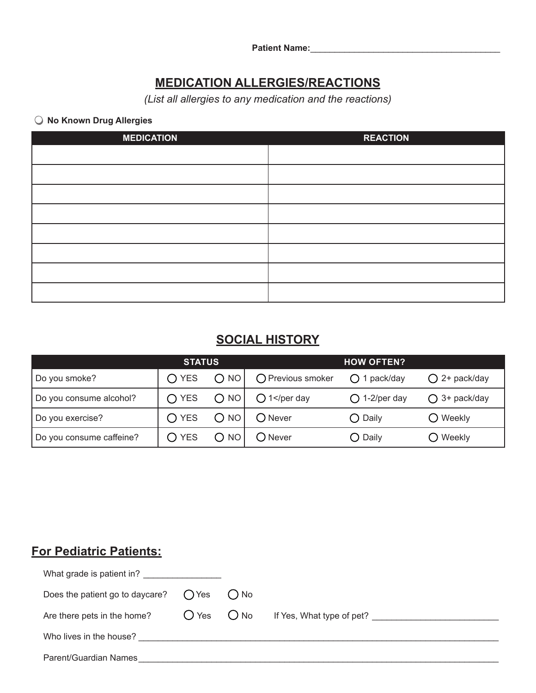**Patient Name:**\_\_\_\_\_\_\_\_\_\_\_\_\_\_\_\_\_\_\_\_\_\_\_\_\_\_\_\_\_\_\_\_\_\_\_\_\_\_\_

# **MEDICATION ALLERGIES/REACTIONS**

*(List all allergies to any medication and the reactions)*

## **No Known Drug Allergies**

| <b>MEDICATION</b> | <b>REACTION</b> |
|-------------------|-----------------|
|                   |                 |
|                   |                 |
|                   |                 |
|                   |                 |
|                   |                 |
|                   |                 |
|                   |                 |
|                   |                 |

# **SOCIAL HISTORY**

|                          | <b>STATUS</b>  |               |                                                                                                   | <b>HOW OFTEN?</b>      |                       |
|--------------------------|----------------|---------------|---------------------------------------------------------------------------------------------------|------------------------|-----------------------|
| Do you smoke?            | $\bigcirc$ YES | O NO          | O Previous smoker                                                                                 | $\bigcirc$ 1 pack/day  | $O$ 2+ pack/day       |
| Do you consume alcohol?  | $\bigcap$ YES  | O NO          | $\bigcirc$ 1 <td><math>\bigcirc</math> 1-2/per day</td> <td><math>\bigcap</math> 3+ pack/day</td> | $\bigcirc$ 1-2/per day | $\bigcap$ 3+ pack/day |
| Do you exercise?         | $\bigcap$ YES  | $\bigcirc$ NO | $\bigcirc$ Never                                                                                  | $\bigcirc$ Daily       | $\bigcirc$ Weekly     |
| Do you consume caffeine? | $\bigcirc$ yes |               | ( ) Never                                                                                         | $\bigcirc$ Daily       | $\bigcirc$ Weekly     |

# **For Pediatric Patients:**

| What grade is patient in?       |                |         |                           |
|---------------------------------|----------------|---------|---------------------------|
| Does the patient go to daycare? | $\bigcap$ Yes  | $()$ No |                           |
| Are there pets in the home?     | $O$ Yes $O$ No |         | If Yes, What type of pet? |
| Who lives in the house?         |                |         |                           |
| Parent/Guardian Names           |                |         |                           |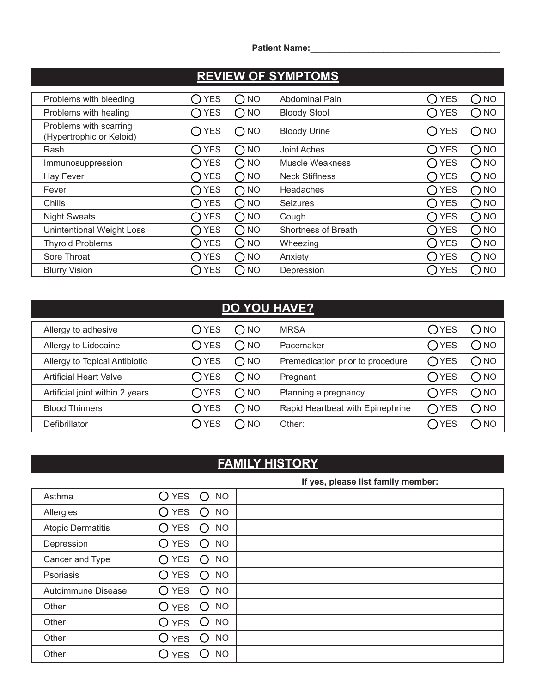**Patient Name:**\_\_\_\_\_\_\_\_\_\_\_\_\_\_\_\_\_\_\_\_\_\_\_\_\_\_\_\_\_\_\_\_\_\_\_\_\_\_\_

# **REVIEW OF SYMPTOMS**

| Problems with bleeding                             | <b>YES</b>                             | <b>NO</b>              | <b>Abdominal Pain</b>      | <b>YES</b><br>$\Box$                                        | <b>NO</b>           |
|----------------------------------------------------|----------------------------------------|------------------------|----------------------------|-------------------------------------------------------------|---------------------|
| Problems with healing                              | <b>YES</b>                             | $\bigcap$ NO           | <b>Bloody Stool</b>        | <b>YES</b>                                                  | <b>NO</b>           |
| Problems with scarring<br>(Hypertrophic or Keloid) | <b>YES</b>                             | $\bigcap$ NO           | <b>Bloody Urine</b>        | <b>YES</b><br>$^{(+)}$                                      | <b>NO</b>           |
| Rash                                               | <b>YES</b><br>$\overline{\phantom{a}}$ | <b>NO</b>              | Joint Aches                | <b>YES</b><br>$\left( \begin{array}{c} \end{array} \right)$ | <b>NO</b>           |
| Immunosuppression                                  | <b>YES</b>                             | $\bigcap$ NO           | <b>Muscle Weakness</b>     | <b>YES</b>                                                  | <b>NO</b>           |
| Hay Fever                                          | <b>YES</b>                             | $\bigcap$ NO           | <b>Neck Stiffness</b>      | <b>YES</b>                                                  | <b>NO</b><br>$\Box$ |
| Fever                                              | YES                                    | $\bigcap$ NO           | Headaches                  | <b>YES</b>                                                  | <b>NO</b>           |
| Chills                                             | <b>YES</b>                             | $\bigcap$ NO           | <b>Seizures</b>            | <b>YES</b>                                                  | $\bigcap$ NO        |
| <b>Night Sweats</b>                                | <b>YES</b>                             | $\bigcap$ NO           | Cough                      | <b>YES</b>                                                  | <b>NO</b>           |
| <b>Unintentional Weight Loss</b>                   | <b>YES</b>                             | $\bigcap$ NO           | <b>Shortness of Breath</b> | <b>YES</b>                                                  | <b>NO</b><br>0      |
| <b>Thyroid Problems</b>                            | <b>YES</b>                             | $\bigcirc$ NO          | Wheezing                   | <b>YES</b>                                                  | <b>NO</b><br>. )    |
| Sore Throat                                        | <b>YES</b>                             | NO <sub>1</sub><br>( ) | Anxiety                    | <b>YES</b>                                                  | <b>NO</b>           |
| <b>Blurry Vision</b>                               | <b>YES</b>                             | <b>NO</b>              | Depression                 | <b>YES</b>                                                  | <b>NO</b>           |

# **DO YOU HAVE?**

| Allergy to adhesive             | $\bigcirc$ YES | ONO           | <b>MRSA</b>                      | $\bigcirc$ yes | $\bigcap$ NO  |
|---------------------------------|----------------|---------------|----------------------------------|----------------|---------------|
| Allergy to Lidocaine            | $\bigcirc$ YES | $\bigcap$ NO  | Pacemaker                        | $\bigcirc$ YES | $\bigcirc$ NO |
| Allergy to Topical Antibiotic   | $\bigcirc$ YES | $\bigcap$ NO  | Premedication prior to procedure | $\bigcap$ YES  | $\bigcirc$ NO |
| <b>Artificial Heart Valve</b>   | $\bigcirc$ YES | $\bigcap$ NO  | Pregnant                         | $\bigcirc$ YES | $\bigcap$ NO  |
| Artificial joint within 2 years | $\bigcap$ YES  | $\bigcirc$ NO | Planning a pregnancy             | $\bigcap$ YES  | $\bigcap$ NO  |
| <b>Blood Thinners</b>           | $\bigcirc$ yes | $\bigcap$ NO  | Rapid Heartbeat with Epinephrine | $\bigcap$ YES  | $\bigcirc$ NO |
| Defibrillator                   | <b>YES</b>     | C NO          | Other:                           | YES            | C NO          |

# **FAMILY HISTORY**

|                          |                                                                          | If yes, please list family member: |
|--------------------------|--------------------------------------------------------------------------|------------------------------------|
| Asthma                   | <b>YES</b><br><b>NO</b><br>$\bigcirc$                                    |                                    |
| Allergies                | <b>YES</b><br><b>NO</b><br>$\left( \right)$<br>$\bigcirc$ .              |                                    |
| <b>Atopic Dermatitis</b> | <b>YES</b><br><b>NO</b><br>$\bigcap$<br>◯                                |                                    |
| Depression               | <b>YES</b><br><b>NO</b><br>$\left(\begin{array}{c} 1 \end{array}\right)$ |                                    |
| Cancer and Type          | <b>YES</b><br><b>NO</b><br>◯<br>$\bigcap$                                |                                    |
| Psoriasis                | <b>YES</b><br><b>NO</b><br>$\left($ )                                    |                                    |
| Autoimmune Disease       | <b>YES</b><br><b>NO</b><br>$\circ$<br>$\left( \ \right)$                 |                                    |
| Other                    | <b>NO</b><br>O yes<br>$\left( \right)$                                   |                                    |
| Other                    | <b>NO</b><br>O yes<br>Ő                                                  |                                    |
| Other                    | <b>NO</b><br>O yes<br>()                                                 |                                    |
| Other                    | <b>NO</b><br><b>YES</b>                                                  |                                    |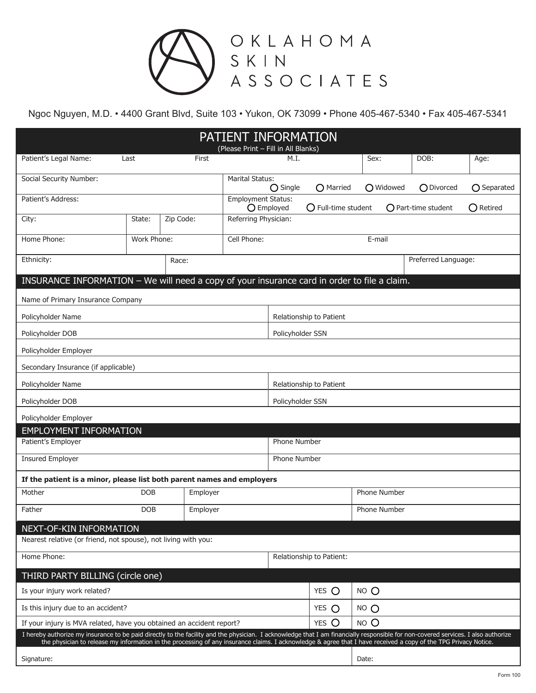

|                                                                                                                                                                                                                                                           |             |           | PATIENT INFORMATION<br>(Please Print - Fill in All Blanks) |                         |                              |                     |                       |                    |
|-----------------------------------------------------------------------------------------------------------------------------------------------------------------------------------------------------------------------------------------------------------|-------------|-----------|------------------------------------------------------------|-------------------------|------------------------------|---------------------|-----------------------|--------------------|
| Patient's Legal Name:                                                                                                                                                                                                                                     | Last        | First     |                                                            | M.I.                    |                              | Sex:                | DOB:                  | Age:               |
| Social Security Number:                                                                                                                                                                                                                                   |             |           | <b>Marital Status:</b>                                     |                         |                              |                     |                       |                    |
| Patient's Address:                                                                                                                                                                                                                                        |             |           | <b>Employment Status:</b>                                  | $\bigcirc$ Single       | O Married                    | O Widowed           | O Divorced            | ○ Separated        |
|                                                                                                                                                                                                                                                           |             |           |                                                            | O Employed              | $\bigcirc$ Full-time student |                     | $O$ Part-time student | $\bigcirc$ Retired |
| City:                                                                                                                                                                                                                                                     | State:      | Zip Code: | Referring Physician:                                       |                         |                              |                     |                       |                    |
| Home Phone:                                                                                                                                                                                                                                               | Work Phone: |           | Cell Phone:                                                |                         |                              | E-mail              |                       |                    |
| Ethnicity:                                                                                                                                                                                                                                                |             | Race:     |                                                            |                         |                              |                     | Preferred Language:   |                    |
| INSURANCE INFORMATION - We will need a copy of your insurance card in order to file a claim.                                                                                                                                                              |             |           |                                                            |                         |                              |                     |                       |                    |
| Name of Primary Insurance Company                                                                                                                                                                                                                         |             |           |                                                            |                         |                              |                     |                       |                    |
| Policyholder Name                                                                                                                                                                                                                                         |             |           | Relationship to Patient                                    |                         |                              |                     |                       |                    |
| Policyholder DOB                                                                                                                                                                                                                                          |             |           | Policyholder SSN                                           |                         |                              |                     |                       |                    |
| Policyholder Employer                                                                                                                                                                                                                                     |             |           |                                                            |                         |                              |                     |                       |                    |
| Secondary Insurance (if applicable)                                                                                                                                                                                                                       |             |           |                                                            |                         |                              |                     |                       |                    |
| Policyholder Name                                                                                                                                                                                                                                         |             |           |                                                            | Relationship to Patient |                              |                     |                       |                    |
| Policyholder DOB                                                                                                                                                                                                                                          |             |           | Policyholder SSN                                           |                         |                              |                     |                       |                    |
| Policyholder Employer                                                                                                                                                                                                                                     |             |           |                                                            |                         |                              |                     |                       |                    |
| <b>EMPLOYMENT INFORMATION</b>                                                                                                                                                                                                                             |             |           |                                                            |                         |                              |                     |                       |                    |
| Patient's Employer                                                                                                                                                                                                                                        |             |           |                                                            | <b>Phone Number</b>     |                              |                     |                       |                    |
| <b>Insured Employer</b>                                                                                                                                                                                                                                   |             |           | Phone Number                                               |                         |                              |                     |                       |                    |
| If the patient is a minor, please list both parent names and employers                                                                                                                                                                                    |             |           |                                                            |                         |                              |                     |                       |                    |
| Mother                                                                                                                                                                                                                                                    | <b>DOB</b>  | Employer  |                                                            |                         |                              | <b>Phone Number</b> |                       |                    |
| Father                                                                                                                                                                                                                                                    | <b>DOB</b>  | Employer  |                                                            |                         |                              | <b>Phone Number</b> |                       |                    |
| NEXT-OF-KIN INFORMATION                                                                                                                                                                                                                                   |             |           |                                                            |                         |                              |                     |                       |                    |
| Nearest relative (or friend, not spouse), not living with you:                                                                                                                                                                                            |             |           |                                                            |                         |                              |                     |                       |                    |
| Home Phone:                                                                                                                                                                                                                                               |             |           |                                                            |                         | Relationship to Patient:     |                     |                       |                    |
| THIRD PARTY BILLING (circle one)                                                                                                                                                                                                                          |             |           |                                                            |                         |                              |                     |                       |                    |
| Is your injury work related?                                                                                                                                                                                                                              |             |           |                                                            |                         | YES O                        | NO O                |                       |                    |
| Is this injury due to an accident?                                                                                                                                                                                                                        |             |           |                                                            | YES $\bigcap$           | NO <sub>O</sub>              |                     |                       |                    |
| If your injury is MVA related, have you obtained an accident report?<br>I hereby authorize my insurance to be paid directly to the facility and the physician. I acknowledge that I am financially responsible for non-covered services. I also authorize |             |           |                                                            |                         | YES O                        | NO O                |                       |                    |
| the physician to release my information in the processing of any insurance claims. I acknowledge & agree that I have received a copy of the TPG Privacy Notice.                                                                                           |             |           |                                                            |                         |                              |                     |                       |                    |
| Signature:                                                                                                                                                                                                                                                |             |           |                                                            |                         |                              | Date:               |                       |                    |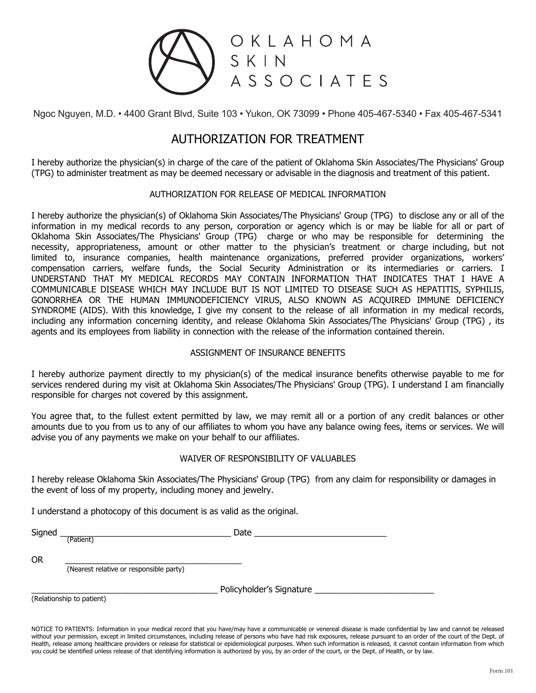

## AUTHORIZATION FOR TREATMENT

I hereby authorize the physician(s) in charge of the care of the patient of Oklahoma Skin Associates/The Physicians' Group (TPG) to administer treatment as may be deemed necessary or advisable in the diagnosis and treatment of this patient.

### AUTHORIZATION FOR RELEASE OF MEDICAL INFORMATION

I hereby authorize the physician(s) of Oklahoma Skin Associates/The Physicians' Group (TPG) to disclose any or all of the information in my medical records to any person, corporation or agency which is or may be liable for all or part of Oklahoma Skin Associates/The Physicians' Group (TPG) charge or who may be responsible for determining the necessity, appropriateness, amount or other matter to the physician's treatment or charge including, but not limited to, insurance companies, health maintenance organizations, preferred provider organizations, workers' compensation carriers, welfare funds, the Social Security Administration or its intermediaries or carriers. I UNDERSTAND THAT MY MEDICAL RECORDS MAY CONTAIN INFORMATION THAT INDICATES THAT I HAVE A COMMUNICABLE DISEASE WHICH MAY INCLUDE BUT IS NOT LIMITED TO DISEASE SUCH AS HEPATITIS, SYPHILIS, GONORRHEA OR THE HUMAN IMMUNODEFICIENCY VIRUS, ALSO KNOWN AS ACQUIRED IMMUNE DEFICIENCY SYNDROME (AIDS). With this knowledge, I give my consent to the release of all information in my medical records, including any information concerning identity, and release Oklahoma Skin Associates/The Physicians' Group (TPG) , its agents and its employees from liability in connection with the release of the information contained therein.

### ASSIGNMENT OF INSURANCE BENEFITS

I hereby authorize payment directly to my physician(s) of the medical insurance benefits otherwise payable to me for services rendered during my visit at Oklahoma Skin Associates/The Physicians' Group (TPG). I understand I am financially responsible for charges not covered by this assignment.

You agree that, to the fullest extent permitted by law, we may remit all or a portion of any credit balances or other amounts due to you from us to any of our affiliates to whom you have any balance owing fees, items or services. We will advise you of any payments we make on your behalf to our affiliates.

### WAIVER OF RESPONSIBILITY OF VALUABLES

I hereby release Oklahoma Skin Associates/The Physicians' Group (TPG) from any claim for responsibility or damages in the event of loss of my property, including money and jewelry.

I understand a photocopy of this document is as valid as the original.

Signed **Example 2** and the set of the set of the set of the set of the set of the set of the set of the set of the set of the set of the set of the set of the set of the set of the set of the set of the set of the set of t (Patient)

OR \_\_\_\_\_\_\_\_\_\_\_\_\_\_\_\_\_\_\_\_\_\_\_\_\_\_\_\_\_\_\_\_\_\_\_\_\_ (Nearest relative or responsible party)

Policyholder's Signature

(Relationship to patient)

NOTICE TO PATIENTS: Information in your medical record that you have/may have a communicable or venereal disease is made confidential by law and cannot be released without your permission, except in limited circumstances, including release of persons who have had risk exposures, release pursuant to an order of the court of the Dept. of Health, release among healthcare providers or release for statistical or epidemiological purposes. When such information is released, it cannot contain information from which you could be identified unless release of that identifying information is authorized by you, by an order of the court, or the Dept. of Health, or by law.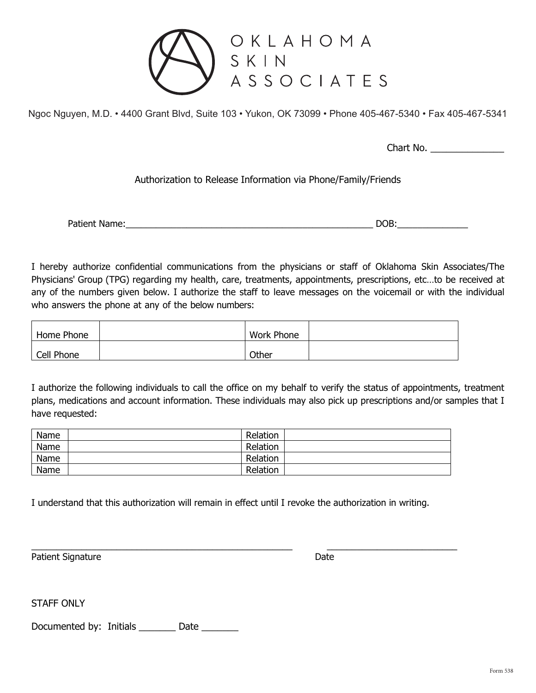

Chart No. \_\_\_\_\_\_\_\_\_\_\_\_\_\_

### Authorization to Release Information via Phone/Family/Friends

Patient Name:\_\_\_\_\_\_\_\_\_\_\_\_\_\_\_\_\_\_\_\_\_\_\_\_\_\_\_\_\_\_\_\_\_\_\_\_\_\_\_\_\_\_\_\_\_\_\_\_\_ DOB:\_\_\_\_\_\_\_\_\_\_\_\_\_\_

I hereby authorize confidential communications from the physicians or staff of Oklahoma Skin Associates/The Physicians' Group (TPG) regarding my health, care, treatments, appointments, prescriptions, etc…to be received at any of the numbers given below. I authorize the staff to leave messages on the voicemail or with the individual who answers the phone at any of the below numbers:

| Home Phone | Work Phone |  |
|------------|------------|--|
| Cell Phone | Other      |  |

I authorize the following individuals to call the office on my behalf to verify the status of appointments, treatment plans, medications and account information. These individuals may also pick up prescriptions and/or samples that I have requested:

| Name | Relation |  |
|------|----------|--|
| Name | Relation |  |
| Name | Relation |  |
| Name | Relation |  |

I understand that this authorization will remain in effect until I revoke the authorization in writing.

\_\_\_\_\_\_\_\_\_\_\_\_\_\_\_\_\_\_\_\_\_\_\_\_\_\_\_\_\_\_\_\_\_\_\_\_\_\_\_\_\_\_\_\_\_\_\_\_\_\_\_\_ \_\_\_\_\_\_\_\_\_\_\_\_\_\_\_\_\_\_\_\_\_\_\_\_\_\_ Patient Signature Date

STAFF ONLY

Documented by: Initials \_\_\_\_\_\_\_\_ Date \_\_\_\_\_\_\_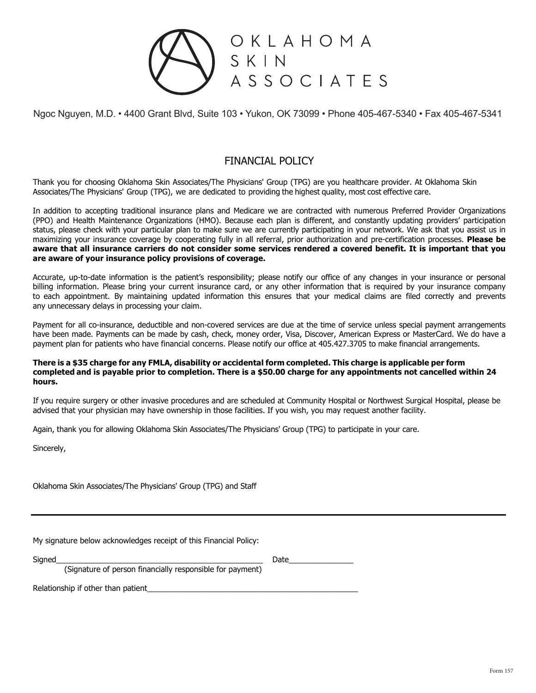

## FINANCIAL POLICY

Thank you for choosing Oklahoma Skin Associates/The Physicians' Group (TPG) are you healthcare provider. At Oklahoma Skin Associates/The Physicians' Group (TPG), we are dedicated to providing the highest quality, most cost effective care.

In addition to accepting traditional insurance plans and Medicare we are contracted with numerous Preferred Provider Organizations (PPO) and Health Maintenance Organizations (HMO). Because each plan is different, and constantly updating providers' participation status, please check with your particular plan to make sure we are currently participating in your network. We ask that you assist us in maximizing your insurance coverage by cooperating fully in all referral, prior authorization and pre-certification processes. **Please be aware that all insurance carriers do not consider some services rendered a covered benefit. It is important that you are aware of your insurance policy provisions of coverage.**

Accurate, up-to-date information is the patient's responsibility; please notify our office of any changes in your insurance or personal billing information. Please bring your current insurance card, or any other information that is required by your insurance company to each appointment. By maintaining updated information this ensures that your medical claims are filed correctly and prevents any unnecessary delays in processing your claim.

Payment for all co-insurance, deductible and non-covered services are due at the time of service unless special payment arrangements have been made. Payments can be made by cash, check, money order, Visa, Discover, American Express or MasterCard. We do have a payment plan for patients who have financial concerns. Please notify our office at 405.427.3705 to make financial arrangements.

#### **There is a \$35 charge for any FMLA, disability or accidental form completed. This charge is applicable per form completed and is payable prior to completion. There is a \$50.00 charge for any appointments not cancelled within 24 hours.**

If you require surgery or other invasive procedures and are scheduled at Community Hospital or Northwest Surgical Hospital, please be advised that your physician may have ownership in those facilities. If you wish, you may request another facility.

Again, thank you for allowing Oklahoma Skin Associates/The Physicians' Group (TPG) to participate in your care.

Sincerely,

Oklahoma Skin Associates/The Physicians' Group (TPG) and Staff

My signature below acknowledges receipt of this Financial Policy:

(Signature of person financially responsible for payment)

Signed\_\_\_\_\_\_\_\_\_\_\_\_\_\_\_\_\_\_\_\_\_\_\_\_\_\_\_\_\_\_\_\_\_\_\_\_\_\_\_\_\_\_\_\_\_\_\_\_ Date\_\_\_\_\_\_\_\_\_\_\_\_\_\_\_

Relationship if other than patient